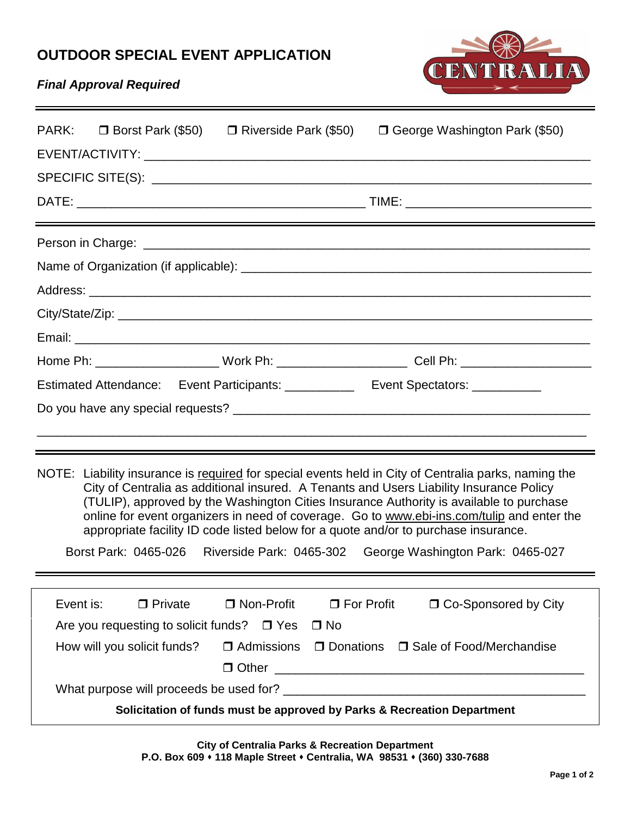# **OUTDOOR SPECIAL EVENT APPLICATION**



## *Final Approval Required*

| PARK:<br>$\Box$ Borst Park (\$50)                                                                                                                                                                                                                                                                                                                                                                                                                                                                                                                                       | $\Box$ Riverside Park (\$50)                 | $\Box$ George Washington Park (\$50)                                                                 |
|-------------------------------------------------------------------------------------------------------------------------------------------------------------------------------------------------------------------------------------------------------------------------------------------------------------------------------------------------------------------------------------------------------------------------------------------------------------------------------------------------------------------------------------------------------------------------|----------------------------------------------|------------------------------------------------------------------------------------------------------|
|                                                                                                                                                                                                                                                                                                                                                                                                                                                                                                                                                                         |                                              |                                                                                                      |
|                                                                                                                                                                                                                                                                                                                                                                                                                                                                                                                                                                         | <u> 1989 - Jan James Alexander (f. 1989)</u> |                                                                                                      |
|                                                                                                                                                                                                                                                                                                                                                                                                                                                                                                                                                                         |                                              |                                                                                                      |
|                                                                                                                                                                                                                                                                                                                                                                                                                                                                                                                                                                         |                                              |                                                                                                      |
|                                                                                                                                                                                                                                                                                                                                                                                                                                                                                                                                                                         |                                              |                                                                                                      |
|                                                                                                                                                                                                                                                                                                                                                                                                                                                                                                                                                                         |                                              |                                                                                                      |
|                                                                                                                                                                                                                                                                                                                                                                                                                                                                                                                                                                         |                                              |                                                                                                      |
|                                                                                                                                                                                                                                                                                                                                                                                                                                                                                                                                                                         |                                              | Home Ph: _______________________Work Ph: _________________________Cell Ph: _________________________ |
|                                                                                                                                                                                                                                                                                                                                                                                                                                                                                                                                                                         |                                              | Estimated Attendance: Event Participants: ___________ Event Spectators: ________                     |
|                                                                                                                                                                                                                                                                                                                                                                                                                                                                                                                                                                         |                                              |                                                                                                      |
|                                                                                                                                                                                                                                                                                                                                                                                                                                                                                                                                                                         |                                              |                                                                                                      |
|                                                                                                                                                                                                                                                                                                                                                                                                                                                                                                                                                                         |                                              |                                                                                                      |
| NOTE: Liability insurance is required for special events held in City of Centralia parks, naming the<br>City of Centralia as additional insured. A Tenants and Users Liability Insurance Policy<br>(TULIP), approved by the Washington Cities Insurance Authority is available to purchase<br>online for event organizers in need of coverage. Go to www.ebi-ins.com/tulip and enter the<br>appropriate facility ID code listed below for a quote and/or to purchase insurance.<br>Borst Park: 0465-026<br>Riverside Park: 0465-302<br>George Washington Park: 0465-027 |                                              |                                                                                                      |
|                                                                                                                                                                                                                                                                                                                                                                                                                                                                                                                                                                         |                                              |                                                                                                      |
|                                                                                                                                                                                                                                                                                                                                                                                                                                                                                                                                                                         |                                              |                                                                                                      |
| Event is:<br>$\Box$ Private                                                                                                                                                                                                                                                                                                                                                                                                                                                                                                                                             | □ Non-Profit                                 | □ Co-Sponsored by City<br>$\Box$ For Profit                                                          |
| Are you requesting to solicit funds? $\Box$ Yes<br>$\Box$ No<br>□ Admissions □ Donations □ Sale of Food/Merchandise                                                                                                                                                                                                                                                                                                                                                                                                                                                     |                                              |                                                                                                      |
| How will you solicit funds?                                                                                                                                                                                                                                                                                                                                                                                                                                                                                                                                             |                                              |                                                                                                      |
|                                                                                                                                                                                                                                                                                                                                                                                                                                                                                                                                                                         |                                              |                                                                                                      |
| Solicitation of funds must be approved by Parks & Recreation Department                                                                                                                                                                                                                                                                                                                                                                                                                                                                                                 |                                              |                                                                                                      |

**City of Centralia Parks & Recreation Department P.O. Box 609 118 Maple Street Centralia, WA 98531 (360) 330-7688**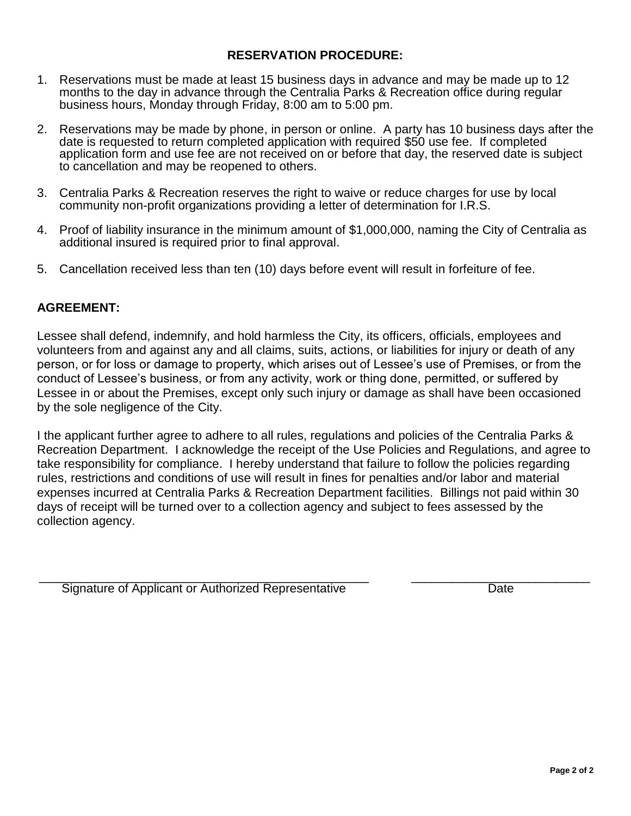### **RESERVATION PROCEDURE:**

- 1. Reservations must be made at least 15 business days in advance and may be made up to 12 months to the day in advance through the Centralia Parks & Recreation office during regular business hours, Monday through Friday, 8:00 am to 5:00 pm.
- 2. Reservations may be made by phone, in person or online. A party has 10 business days after the date is requested to return completed application with required \$50 use fee. If completed application form and use fee are not received on or before that day, the reserved date is subject to cancellation and may be reopened to others.
- 3. Centralia Parks & Recreation reserves the right to waive or reduce charges for use by local community non-profit organizations providing a letter of determination for I.R.S.
- 4. Proof of liability insurance in the minimum amount of \$1,000,000, naming the City of Centralia as additional insured is required prior to final approval.
- 5. Cancellation received less than ten (10) days before event will result in forfeiture of fee.

### **AGREEMENT:**

Lessee shall defend, indemnify, and hold harmless the City, its officers, officials, employees and volunteers from and against any and all claims, suits, actions, or liabilities for injury or death of any person, or for loss or damage to property, which arises out of Lessee's use of Premises, or from the conduct of Lessee's business, or from any activity, work or thing done, permitted, or suffered by Lessee in or about the Premises, except only such injury or damage as shall have been occasioned by the sole negligence of the City.

I the applicant further agree to adhere to all rules, regulations and policies of the Centralia Parks & Recreation Department. I acknowledge the receipt of the Use Policies and Regulations, and agree to take responsibility for compliance. I hereby understand that failure to follow the policies regarding rules, restrictions and conditions of use will result in fines for penalties and/or labor and material expenses incurred at Centralia Parks & Recreation Department facilities. Billings not paid within 30 days of receipt will be turned over to a collection agency and subject to fees assessed by the collection agency.

\_\_\_\_\_\_\_\_\_\_\_\_\_\_\_\_\_\_\_\_\_\_\_\_\_\_\_\_\_\_\_\_\_\_\_\_\_\_\_\_\_\_\_\_\_\_\_\_ \_\_\_\_\_\_\_\_\_\_\_\_\_\_\_\_\_\_\_\_\_\_\_\_\_\_ Signature of Applicant or Authorized Representative Date